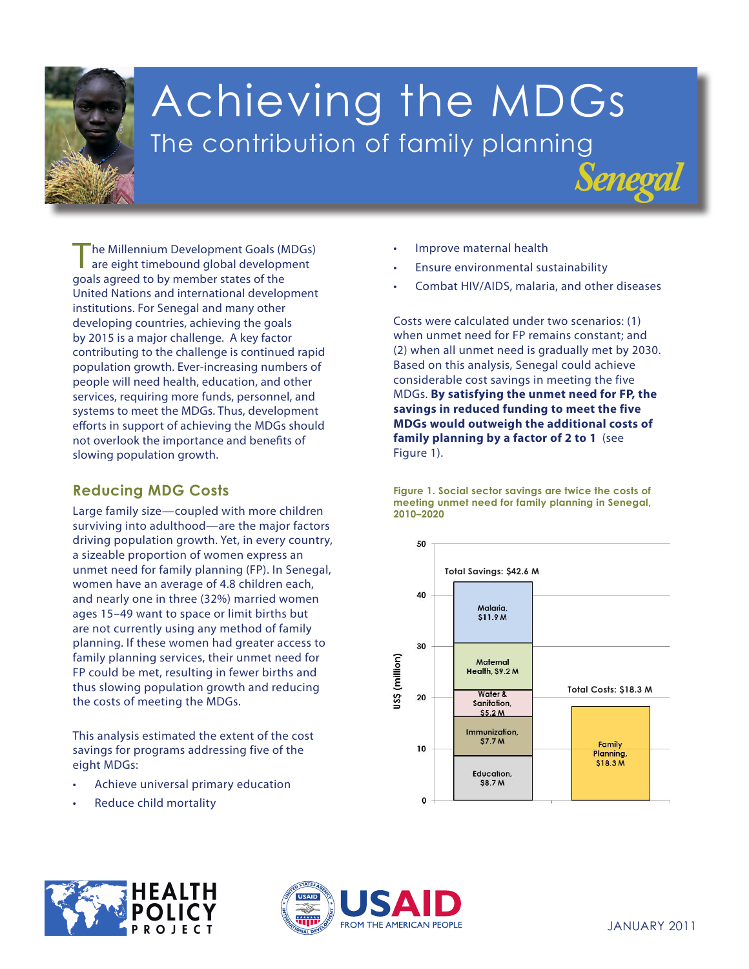

# Achieving the MDGs The contribution of family planning

The Millennium Development Goals (MDGs) are eight timebound global development goals agreed to by member states of the United Nations and international development institutions. For Senegal and many other developing countries, achieving the goals by 2015 is a major challenge. A key factor contributing to the challenge is continued rapid population growth. Ever-increasing numbers of people will need health, education, and other services, requiring more funds, personnel, and systems to meet the MDGs. Thus, development efforts in support of achieving the MDGs should not overlook the importance and benefits of slowing population growth.

## **Reducing MDG Costs**

FP could be met, resulting in fewer births and thus slowing population growth and reducing the costs of meeting the MDGs. Large family size—coupled with more children surviving into adulthood—are the major factors driving population growth. Yet, in every country, a sizeable proportion of women express an unmet need for family planning (FP). In Senegal, women have an average of 4.8 children each, and nearly one in three (32%) married women ages 15–49 want to space or limit births but are not currently using any method of family planning. If these women had greater access to family planning services, their unmet need for

**3. Promote gender** This analysis estimated the extent of the cost **women** savings for programs addressing five of the **4. Reduce child mortality** eight MDGs:

- **5. Improve maternal** Achieve universal primary education
- **•** Reduce child mortality



- Ensure environmental sustainability
- Combat HIV/AIDS, malaria, and other diseases

*Senegal*

Costs were calculated under two scenarios: (1) when unmet need for FP remains constant; and (2) when all unmet need is gradually met by 2030. Based on this analysis, Senegal could achieve considerable cost savings in meeting the five MDGs. **By satisfying the unmet need for FP, the savings in reduced funding to meet the five MDGs would outweigh the additional costs of family planning by a factor of 2 to 1** (see Figure 1).

**Figure 1. Social sector savings are twice the costs of meeting unmet need for family planning in Senegal, 2010–2020**